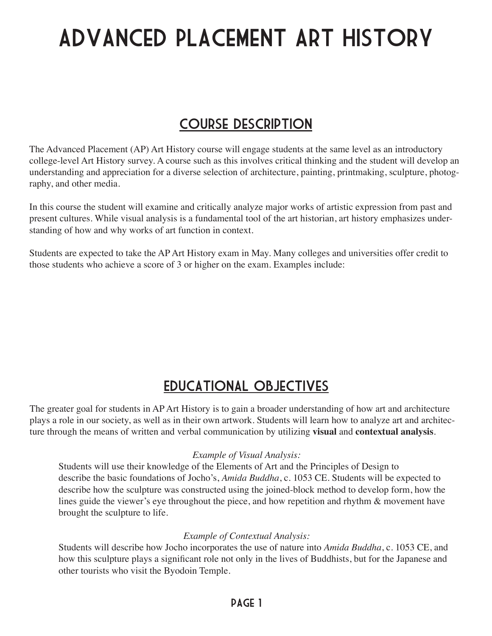# Advanced Placement Art History

### Course description

The Advanced Placement (AP) Art History course will engage students at the same level as an introductory college-level Art History survey. A course such as this involves critical thinking and the student will develop an understanding and appreciation for a diverse selection of architecture, painting, printmaking, sculpture, photography, and other media.

In this course the student will examine and critically analyze major works of artistic expression from past and present cultures. While visual analysis is a fundamental tool of the art historian, art history emphasizes understanding of how and why works of art function in context.

Students are expected to take the AP Art History exam in May. Many colleges and universities offer credit to those students who achieve a score of 3 or higher on the exam. Examples include:

### Educational objectives

The greater goal for students in AP Art History is to gain a broader understanding of how art and architecture plays a role in our society, as well as in their own artwork. Students will learn how to analyze art and architecture through the means of written and verbal communication by utilizing **visual** and **contextual analysis**.

#### *Example of Visual Analysis:*

Students will use their knowledge of the Elements of Art and the Principles of Design to describe the basic foundations of Jocho's, *Amida Buddha*, c. 1053 CE. Students will be expected to describe how the sculpture was constructed using the joined-block method to develop form, how the lines guide the viewer's eye throughout the piece, and how repetition and rhythm & movement have brought the sculpture to life.

#### *Example of Contextual Analysis:*

Students will describe how Jocho incorporates the use of nature into *Amida Buddha*, c. 1053 CE, and how this sculpture plays a significant role not only in the lives of Buddhists, but for the Japanese and other tourists who visit the Byodoin Temple.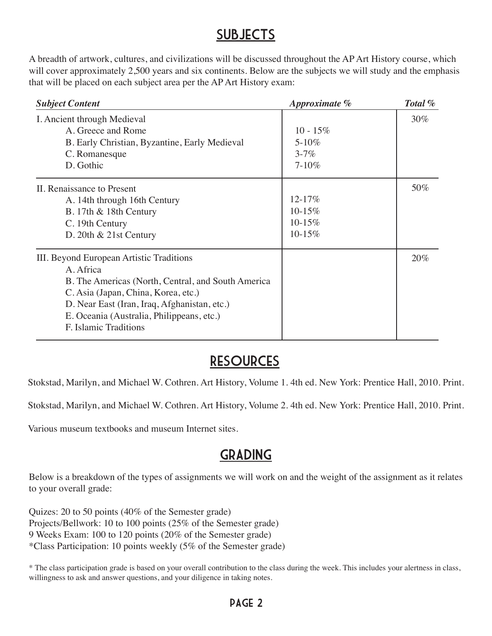#### **SUBJECTS**

A breadth of artwork, cultures, and civilizations will be discussed throughout the AP Art History course, which will cover approximately 2,500 years and six continents. Below are the subjects we will study and the emphasis that will be placed on each subject area per the AP Art History exam:

| <b>Subject Content</b>                                                                                                                                                                                                                                                   | Approximate %                                       | Total % |
|--------------------------------------------------------------------------------------------------------------------------------------------------------------------------------------------------------------------------------------------------------------------------|-----------------------------------------------------|---------|
| I. Ancient through Medieval<br>A. Greece and Rome<br>B. Early Christian, Byzantine, Early Medieval<br>C. Romanesque<br>D. Gothic                                                                                                                                         | $10 - 15\%$<br>$5 - 10\%$<br>$3 - 7\%$<br>$7 - 10%$ | 30%     |
| II. Renaissance to Present<br>A. 14th through 16th Century<br>B. 17th & 18th Century<br>C. 19th Century<br>D. 20th $& 21st$ Century                                                                                                                                      | 12-17%<br>10-15%<br>10-15%<br>10-15%                | 50%     |
| III. Beyond European Artistic Traditions<br>A. Africa<br>B. The Americas (North, Central, and South America<br>C. Asia (Japan, China, Korea, etc.)<br>D. Near East (Iran, Iraq, Afghanistan, etc.)<br>E. Oceania (Australia, Philippeans, etc.)<br>F. Islamic Traditions |                                                     | 20%     |

#### **RESOURCES**

Stokstad, Marilyn, and Michael W. Cothren. Art History, Volume 1. 4th ed. New York: Prentice Hall, 2010. Print.

Stokstad, Marilyn, and Michael W. Cothren. Art History, Volume 2. 4th ed. New York: Prentice Hall, 2010. Print.

Various museum textbooks and museum Internet sites.

### **GRADING**

Below is a breakdown of the types of assignments we will work on and the weight of the assignment as it relates to your overall grade:

Quizes: 20 to 50 points (40% of the Semester grade) Projects/Bellwork: 10 to 100 points (25% of the Semester grade) 9 Weeks Exam: 100 to 120 points (20% of the Semester grade) \*Class Participation: 10 points weekly (5% of the Semester grade)

\* The class participation grade is based on your overall contribution to the class during the week. This includes your alertness in class, willingness to ask and answer questions, and your diligence in taking notes.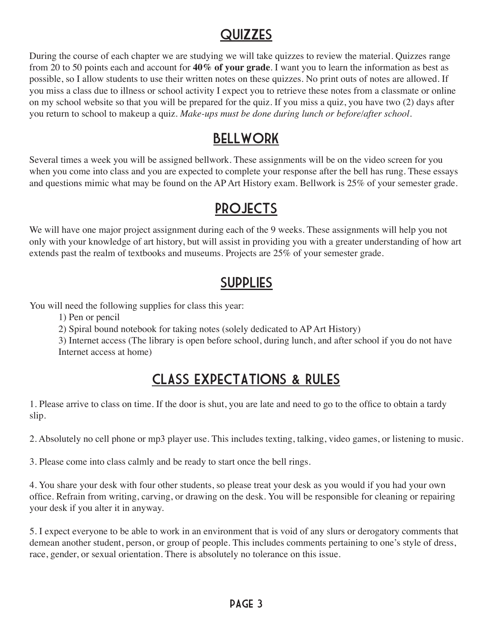### **QUIZZES**

During the course of each chapter we are studying we will take quizzes to review the material. Quizzes range from 20 to 50 points each and account for **40% of your grade**. I want you to learn the information as best as possible, so I allow students to use their written notes on these quizzes. No print outs of notes are allowed. If you miss a class due to illness or school activity I expect you to retrieve these notes from a classmate or online on my school website so that you will be prepared for the quiz. If you miss a quiz, you have two (2) days after you return to school to makeup a quiz. *Make-ups must be done during lunch or before/after school.*

### Bellwork

Several times a week you will be assigned bellwork. These assignments will be on the video screen for you when you come into class and you are expected to complete your response after the bell has rung. These essays and questions mimic what may be found on the AP Art History exam. Bellwork is 25% of your semester grade.

### **PROJECTS**

We will have one major project assignment during each of the 9 weeks. These assignments will help you not only with your knowledge of art history, but will assist in providing you with a greater understanding of how art extends past the realm of textbooks and museums. Projects are 25% of your semester grade.

### **SUPPLIES**

You will need the following supplies for class this year:

1) Pen or pencil

2) Spiral bound notebook for taking notes (solely dedicated to AP Art History)

3) Internet access (The library is open before school, during lunch, and after school if you do not have Internet access at home)

## Class expectations & Rules

1. Please arrive to class on time. If the door is shut, you are late and need to go to the office to obtain a tardy slip.

2. Absolutely no cell phone or mp3 player use. This includes texting, talking, video games, or listening to music.

3. Please come into class calmly and be ready to start once the bell rings.

4. You share your desk with four other students, so please treat your desk as you would if you had your own office. Refrain from writing, carving, or drawing on the desk. You will be responsible for cleaning or repairing your desk if you alter it in anyway.

5. I expect everyone to be able to work in an environment that is void of any slurs or derogatory comments that demean another student, person, or group of people. This includes comments pertaining to one's style of dress, race, gender, or sexual orientation. There is absolutely no tolerance on this issue.